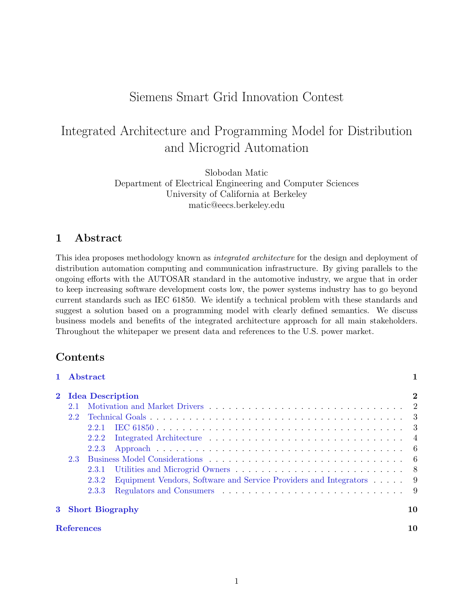## Siemens Smart Grid Innovation Contest

# Integrated Architecture and Programming Model for Distribution and Microgrid Automation

Slobodan Matic Department of Electrical Engineering and Computer Sciences University of California at Berkeley matic@eecs.berkeley.edu

## <span id="page-0-0"></span>1 Abstract

This idea proposes methodology known as *integrated architecture* for the design and deployment of distribution automation computing and communication infrastructure. By giving parallels to the ongoing efforts with the AUTOSAR standard in the automotive industry, we argue that in order to keep increasing software development costs low, the power systems industry has to go beyond current standards such as IEC 61850. We identify a technical problem with these standards and suggest a solution based on a programming model with clearly defined semantics. We discuss business models and benefits of the integrated architecture approach for all main stakeholders. Throughout the whitepaper we present data and references to the U.S. power market.

## Contents

|                   |                         | 1 Abstract |                                                                     |    |
|-------------------|-------------------------|------------|---------------------------------------------------------------------|----|
| $2^{-}$           | <b>Idea Description</b> |            |                                                                     |    |
|                   | 2.1                     |            |                                                                     |    |
|                   | 2.2                     |            |                                                                     |    |
|                   |                         | 2.2.1      |                                                                     |    |
|                   |                         | 2.2.2      |                                                                     |    |
|                   |                         | 2.2.3      |                                                                     |    |
|                   | 2.3                     |            |                                                                     |    |
|                   |                         | 2.3.1      |                                                                     |    |
|                   |                         | 2.3.2      | Equipment Vendors, Software and Service Providers and Integrators 9 |    |
|                   |                         | 2.3.3      |                                                                     |    |
| 3 Short Biography |                         |            | 10                                                                  |    |
| <b>References</b> |                         |            |                                                                     | 10 |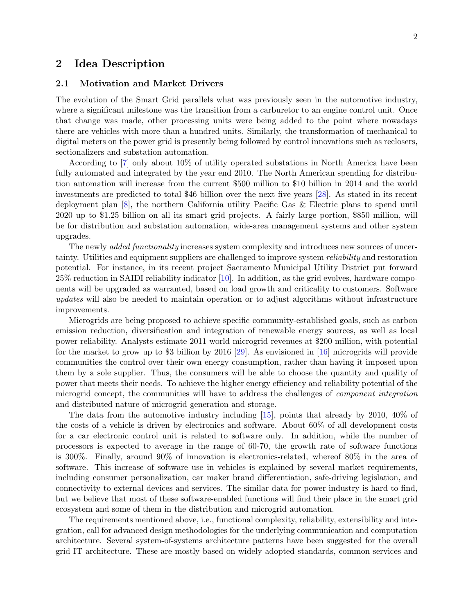### <span id="page-1-0"></span>2 Idea Description

#### <span id="page-1-1"></span>2.1 Motivation and Market Drivers

The evolution of the Smart Grid parallels what was previously seen in the automotive industry, where a significant milestone was the transition from a carburetor to an engine control unit. Once that change was made, other processing units were being added to the point where nowadays there are vehicles with more than a hundred units. Similarly, the transformation of mechanical to digital meters on the power grid is presently being followed by control innovations such as reclosers, sectionalizers and substation automation.

According to [\[7\]](#page-10-0) only about 10% of utility operated substations in North America have been fully automated and integrated by the year end 2010. The North American spending for distribution automation will increase from the current \$500 million to \$10 billion in 2014 and the world investments are predicted to total \$46 billion over the next five years [\[28\]](#page-11-0). As stated in its recent deployment plan [\[8\]](#page-10-1), the northern California utility Pacific Gas & Electric plans to spend until 2020 up to \$1.25 billion on all its smart grid projects. A fairly large portion, \$850 million, will be for distribution and substation automation, wide-area management systems and other system upgrades.

The newly *added functionality* increases system complexity and introduces new sources of uncertainty. Utilities and equipment suppliers are challenged to improve system reliability and restoration potential. For instance, in its recent project Sacramento Municipal Utility District put forward 25% reduction in SAIDI reliability indicator [\[10\]](#page-10-2). In addition, as the grid evolves, hardware components will be upgraded as warranted, based on load growth and criticality to customers. Software updates will also be needed to maintain operation or to adjust algorithms without infrastructure improvements.

Microgrids are being proposed to achieve specific community-established goals, such as carbon emission reduction, diversification and integration of renewable energy sources, as well as local power reliability. Analysts estimate 2011 world microgrid revenues at \$200 million, with potential for the market to grow up to \$3 billion by 2016 [\[29\]](#page-11-1). As envisioned in [\[16\]](#page-10-3) microgrids will provide communities the control over their own energy consumption, rather than having it imposed upon them by a sole supplier. Thus, the consumers will be able to choose the quantity and quality of power that meets their needs. To achieve the higher energy efficiency and reliability potential of the microgrid concept, the communities will have to address the challenges of *component integration* and distributed nature of microgrid generation and storage.

The data from the automotive industry including  $[15]$ , points that already by 2010, 40% of the costs of a vehicle is driven by electronics and software. About 60% of all development costs for a car electronic control unit is related to software only. In addition, while the number of processors is expected to average in the range of 60-70, the growth rate of software functions is 300%. Finally, around 90% of innovation is electronics-related, whereof 80% in the area of software. This increase of software use in vehicles is explained by several market requirements, including consumer personalization, car maker brand differentiation, safe-driving legislation, and connectivity to external devices and services. The similar data for power industry is hard to find, but we believe that most of these software-enabled functions will find their place in the smart grid ecosystem and some of them in the distribution and microgrid automation.

The requirements mentioned above, i.e., functional complexity, reliability, extensibility and integration, call for advanced design methodologies for the underlying communication and computation architecture. Several system-of-systems architecture patterns have been suggested for the overall grid IT architecture. These are mostly based on widely adopted standards, common services and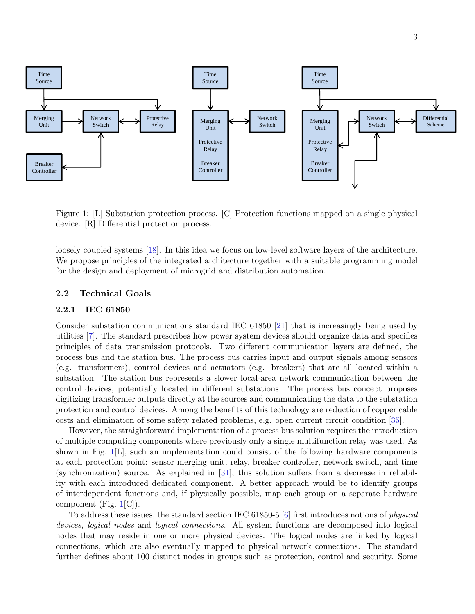

<span id="page-2-2"></span>Figure 1: [L] Substation protection process. [C] Protection functions mapped on a single physical device. [R] Differential protection process.

We propose principles of the integrated architecture together with a suitable programming model for the design and deployment of microgrid and distribution automation. loosely coupled systems [\[18\]](#page-10-5). In this idea we focus on low-level software layers of the architecture.

#### <span id="page-2-0"></span>2.2 Technical Goals

#### <span id="page-2-1"></span>2.2.1 IEC 61850

Consider substation communications standard IEC 61850 [\[21\]](#page-11-2) that is increasingly being used by utilities [\[7\]](#page-10-0). The standard prescribes how power system devices should organize data and specifies principles of data transmission protocols. Two different communication layers are defined, the process bus and the station bus. The process bus carries input and output signals among sensors (e.g. transformers), control devices and actuators (e.g. breakers) that are all located within a substation. The station bus represents a slower local-area network communication between the control devices, potentially located in different substations. The process bus concept proposes digitizing transformer outputs directly at the sources and communicating the data to the substation protection and control devices. Among the benefits of this technology are reduction of copper cable costs and elimination of some safety related problems, e.g. open current circuit condition [\[35\]](#page-12-0).

However, the straightforward implementation of a process bus solution requires the introduction of multiple computing components where previously only a single multifunction relay was used. As shown in Fig. [1\[](#page-2-2)L], such an implementation could consist of the following hardware components at each protection point: sensor merging unit, relay, breaker controller, network switch, and time (synchronization) source. As explained in [\[31\]](#page-11-3), this solution suffers from a decrease in reliability with each introduced dedicated component. A better approach would be to identify groups of interdependent functions and, if physically possible, map each group on a separate hardware component (Fig. [1\[](#page-2-2)C]).

To address these issues, the standard section IEC 61850-5 [\[6\]](#page-10-6) first introduces notions of physical devices, logical nodes and logical connections. All system functions are decomposed into logical nodes that may reside in one or more physical devices. The logical nodes are linked by logical connections, which are also eventually mapped to physical network connections. The standard further defines about 100 distinct nodes in groups such as protection, control and security. Some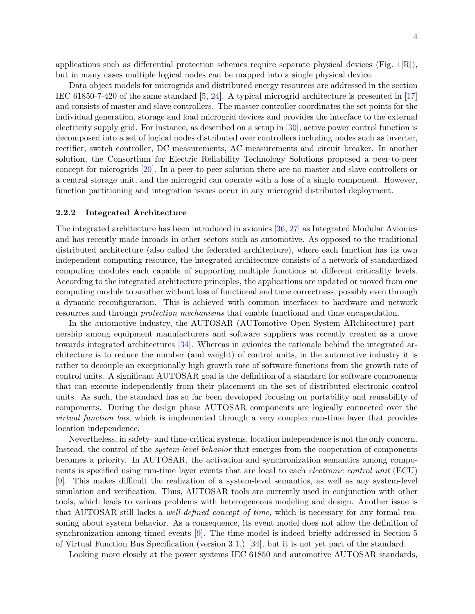applications such as differential protection schemes require separate physical devices (Fig.  $1\vert R \vert$ ), but in many cases multiple logical nodes can be mapped into a single physical device.

Data object models for microgrids and distributed energy resources are addressed in the section IEC 61850-7-420 of the same standard [\[5,](#page-9-1) [24\]](#page-11-4). A typical microgrid architecture is presented in [\[17\]](#page-10-7) and consists of master and slave controllers. The master controller coordinates the set points for the individual generation, storage and load microgrid devices and provides the interface to the external electricity supply grid. For instance, as described on a setup in [\[30\]](#page-11-5), active power control function is decomposed into a set of logical nodes distributed over controllers including nodes such as inverter, rectifier, switch controller, DC measurements, AC measurements and circuit breaker. In another solution, the Consortium for Electric Reliability Technology Solutions proposed a peer-to-peer concept for microgrids [\[20\]](#page-11-6). In a peer-to-peer solution there are no master and slave controllers or a central storage unit, and the microgrid can operate with a loss of a single component. However, function partitioning and integration issues occur in any microgrid distributed deployment.

#### <span id="page-3-0"></span>2.2.2 Integrated Architecture

The integrated architecture has been introduced in avionics [\[36,](#page-12-1) [27\]](#page-11-7) as Integrated Modular Avionics and has recently made inroads in other sectors such as automotive. As opposed to the traditional distributed architecture (also called the federated architecture), where each function has its own independent computing resource, the integrated architecture consists of a network of standardized computing modules each capable of supporting multiple functions at different criticality levels. According to the integrated architecture principles, the applications are updated or moved from one computing module to another without loss of functional and time correctness, possibly even through a dynamic reconfiguration. This is achieved with common interfaces to hardware and network resources and through protection mechanisms that enable functional and time encapsulation.

In the automotive industry, the AUTOSAR (AUTomotive Open System ARchitecture) partnership among equipment manufacturers and software suppliers was recently created as a move towards integrated architectures [\[34\]](#page-12-2). Whereas in avionics the rationale behind the integrated architecture is to reduce the number (and weight) of control units, in the automotive industry it is rather to decouple an exceptionally high growth rate of software functions from the growth rate of control units. A significant AUTOSAR goal is the definition of a standard for software components that can execute independently from their placement on the set of distributed electronic control units. As such, the standard has so far been developed focusing on portability and reusability of components. During the design phase AUTOSAR components are logically connected over the virtual function bus, which is implemented through a very complex run-time layer that provides location independence.

Nevertheless, in safety- and time-critical systems, location independence is not the only concern. Instead, the control of the *system-level behavior* that emerges from the cooperation of components becomes a priority. In AUTOSAR, the activation and synchronization semantics among components is specified using run-time layer events that are local to each electronic control unit (ECU) [\[9\]](#page-10-8). This makes difficult the realization of a system-level semantics, as well as any system-level simulation and verification. Thus, AUTOSAR tools are currently used in conjunction with other tools, which leads to various problems with heterogeneous modeling and design. Another issue is that AUTOSAR still lacks a *well-defined concept of time*, which is necessary for any formal reasoning about system behavior. As a consequence, its event model does not allow the definition of synchronization among timed events [\[9\]](#page-10-8). The time model is indeed briefly addressed in Section 5 of Virtual Function Bus Specification (version 3.1.) [\[34\]](#page-12-2), but it is not yet part of the standard.

Looking more closely at the power systems IEC 61850 and automotive AUTOSAR standards,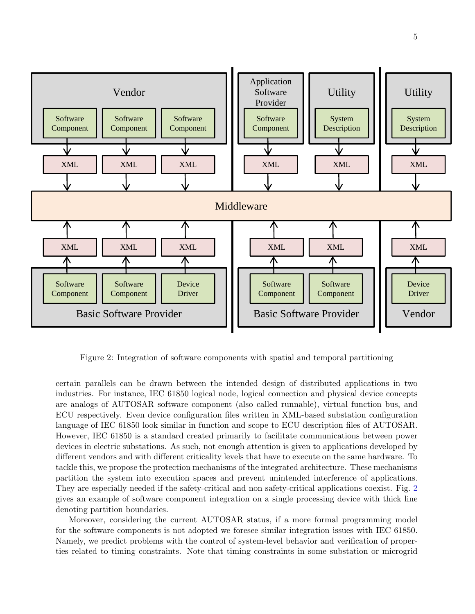

<span id="page-4-0"></span>Figure 2: Integration of software components with spatial and temporal partitioning

are analogs of AUTOSAR software component (also called runnable), virtual function bus, and<br>ECU respectively. Even device configuration files written in XML-based substation configuration certain parallels can be drawn between the intended design of distributed applications in two industries. For instance, IEC 61850 logical node, logical connection and physical device concepts are analogs of AUTOSAR software component (also called runnable), virtual function bus, and language of IEC 61850 look similar in function and scope to ECU description files of AUTOSAR. However, IEC 61850 is a standard created primarily to facilitate communications between power devices in electric substations. As such, not enough attention is given to applications developed by different vendors and with different criticality levels that have to execute on the same hardware. To tackle this, we propose the protection mechanisms of the integrated architecture. These mechanisms partition the system into execution spaces and prevent unintended interference of applications. They are especially needed if the safety-critical and non safety-critical applications coexist. Fig. [2](#page-4-0) gives an example of software component integration on a single processing device with thick line denoting partition boundaries.

Moreover, considering the current AUTOSAR status, if a more formal programming model for the software components is not adopted we foresee similar integration issues with IEC 61850. Namely, we predict problems with the control of system-level behavior and verification of properties related to timing constraints. Note that timing constraints in some substation or microgrid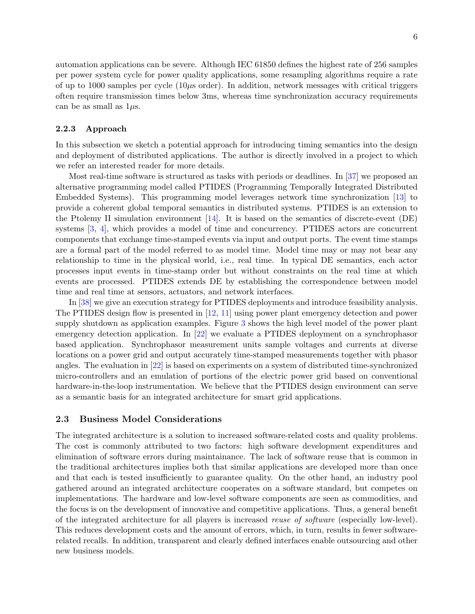automation applications can be severe. Although IEC 61850 defines the highest rate of 256 samples per power system cycle for power quality applications, some resampling algorithms require a rate of up to 1000 samples per cycle  $(10\mu s$  order). In addition, network messages with critical triggers often require transmission times below 3ms, whereas time synchronization accuracy requirements can be as small as  $1\mu$ s.

#### <span id="page-5-0"></span>2.2.3 Approach

In this subsection we sketch a potential approach for introducing timing semantics into the design and deployment of distributed applications. The author is directly involved in a project to which we refer an interested reader for more details.

Most real-time software is structured as tasks with periods or deadlines. In [\[37\]](#page-12-3) we proposed an alternative programming model called PTIDES (Programming Temporally Integrated Distributed Embedded Systems). This programming model leverages network time synchronization [\[13\]](#page-10-9) to provide a coherent global temporal semantics in distributed systems. PTIDES is an extension to the Ptolemy II simulation environment [\[14\]](#page-10-10). It is based on the semantics of discrete-event (DE) systems [\[3,](#page-9-2) [4\]](#page-9-3), which provides a model of time and concurrency. PTIDES actors are concurrent components that exchange time-stamped events via input and output ports. The event time stamps are a formal part of the model referred to as model time. Model time may or may not bear any relationship to time in the physical world, i.e., real time. In typical DE semantics, each actor processes input events in time-stamp order but without constraints on the real time at which events are processed. PTIDES extends DE by establishing the correspondence between model time and real time at sensors, actuators, and network interfaces.

In [\[38\]](#page-12-4) we give an execution strategy for PTIDES deployments and introduce feasibility analysis. The PTIDES design flow is presented in [\[12,](#page-10-11) [11\]](#page-10-12) using power plant emergency detection and power supply shutdown as application examples. Figure [3](#page-6-0) shows the high level model of the power plant emergency detection application. In [\[22\]](#page-11-8) we evaluate a PTIDES deployment on a synchrophasor based application. Synchrophasor measurement units sample voltages and currents at diverse locations on a power grid and output accurately time-stamped measurements together with phasor angles. The evaluation in [\[22\]](#page-11-8) is based on experiments on a system of distributed time-synchronized micro-controllers and an emulation of portions of the electric power grid based on conventional hardware-in-the-loop instrumentation. We believe that the PTIDES design environment can serve as a semantic basis for an integrated architecture for smart grid applications.

#### <span id="page-5-1"></span>2.3 Business Model Considerations

The integrated architecture is a solution to increased software-related costs and quality problems. The cost is commonly attributed to two factors: high software development expenditures and elimination of software errors during maintainance. The lack of software reuse that is common in the traditional architectures implies both that similar applications are developed more than once and that each is tested insufficiently to guarantee quality. On the other hand, an industry pool gathered around an integrated architecture cooperates on a software standard, but competes on implementations. The hardware and low-level software components are seen as commodities, and the focus is on the development of innovative and competitive applications. Thus, a general benefit of the integrated architecture for all players is increased reuse of software (especially low-level). This reduces development costs and the amount of errors, which, in turn, results in fewer softwarerelated recalls. In addition, transparent and clearly defined interfaces enable outsourcing and other new business models.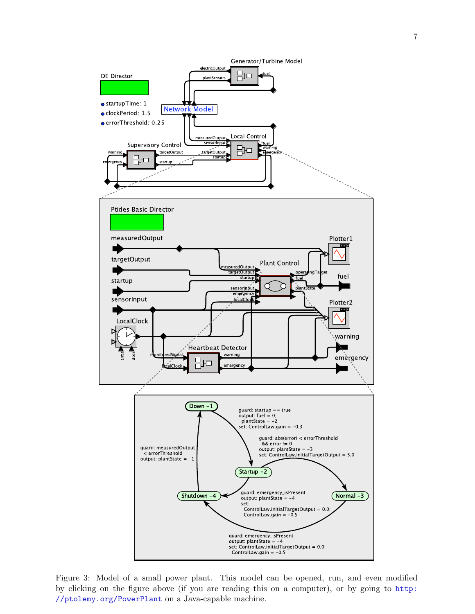

<span id="page-6-0"></span>Figure 3: Model of a small power plant. This model can be opened, run, and even modified by clicking on the figure above (if you are reading this on a computer), or by going to [http:](http://ptolemy.org/PowerPlant) [//ptolemy.org/PowerPlant](http://ptolemy.org/PowerPlant) on a Java-capable machine.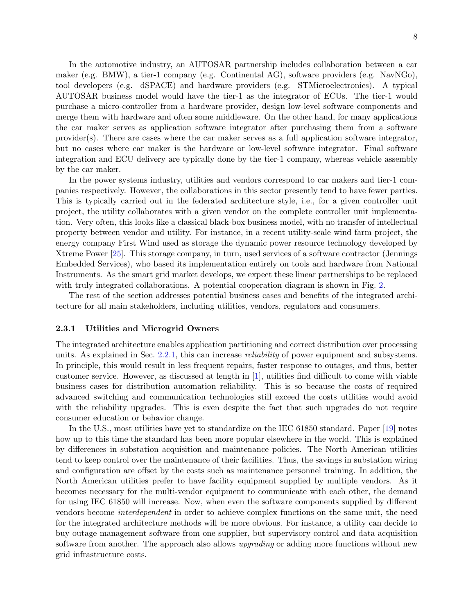In the automotive industry, an AUTOSAR partnership includes collaboration between a car maker (e.g. BMW), a tier-1 company (e.g. Continental AG), software providers (e.g. NavNGo), tool developers (e.g. dSPACE) and hardware providers (e.g. STMicroelectronics). A typical AUTOSAR business model would have the tier-1 as the integrator of ECUs. The tier-1 would purchase a micro-controller from a hardware provider, design low-level software components and merge them with hardware and often some middleware. On the other hand, for many applications the car maker serves as application software integrator after purchasing them from a software provider(s). There are cases where the car maker serves as a full application software integrator, but no cases where car maker is the hardware or low-level software integrator. Final software integration and ECU delivery are typically done by the tier-1 company, whereas vehicle assembly by the car maker.

In the power systems industry, utilities and vendors correspond to car makers and tier-1 companies respectively. However, the collaborations in this sector presently tend to have fewer parties. This is typically carried out in the federated architecture style, i.e., for a given controller unit project, the utility collaborates with a given vendor on the complete controller unit implementation. Very often, this looks like a classical black-box business model, with no transfer of intellectual property between vendor and utility. For instance, in a recent utility-scale wind farm project, the energy company First Wind used as storage the dynamic power resource technology developed by Xtreme Power [\[25\]](#page-11-9). This storage company, in turn, used services of a software contractor (Jennings Embedded Services), who based its implementation entirely on tools and hardware from National Instruments. As the smart grid market develops, we expect these linear partnerships to be replaced with truly integrated collaborations. A potential cooperation diagram is shown in Fig. [2.](#page-4-0)

The rest of the section addresses potential business cases and benefits of the integrated architecture for all main stakeholders, including utilities, vendors, regulators and consumers.

#### <span id="page-7-0"></span>2.3.1 Utilities and Microgrid Owners

The integrated architecture enables application partitioning and correct distribution over processing units. As explained in Sec. [2.2.1,](#page-2-1) this can increase reliability of power equipment and subsystems. In principle, this would result in less frequent repairs, faster response to outages, and thus, better customer service. However, as discussed at length in [\[1\]](#page-9-4), utilities find difficult to come with viable business cases for distribution automation reliability. This is so because the costs of required advanced switching and communication technologies still exceed the costs utilities would avoid with the reliability upgrades. This is even despite the fact that such upgrades do not require consumer education or behavior change.

In the U.S., most utilities have yet to standardize on the IEC 61850 standard. Paper [\[19\]](#page-11-10) notes how up to this time the standard has been more popular elsewhere in the world. This is explained by differences in substation acquisition and maintenance policies. The North American utilities tend to keep control over the maintenance of their facilities. Thus, the savings in substation wiring and configuration are offset by the costs such as maintenance personnel training. In addition, the North American utilities prefer to have facility equipment supplied by multiple vendors. As it becomes necessary for the multi-vendor equipment to communicate with each other, the demand for using IEC 61850 will increase. Now, when even the software components supplied by different vendors become interdependent in order to achieve complex functions on the same unit, the need for the integrated architecture methods will be more obvious. For instance, a utility can decide to buy outage management software from one supplier, but supervisory control and data acquisition software from another. The approach also allows *upgrading* or adding more functions without new grid infrastructure costs.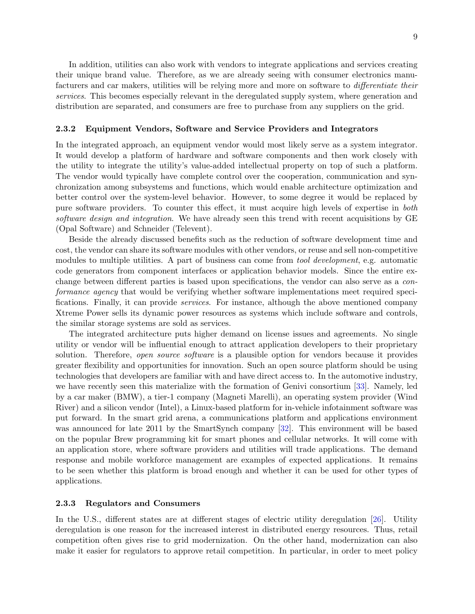In addition, utilities can also work with vendors to integrate applications and services creating their unique brand value. Therefore, as we are already seeing with consumer electronics manufacturers and car makers, utilities will be relying more and more on software to differentiate their services. This becomes especially relevant in the deregulated supply system, where generation and distribution are separated, and consumers are free to purchase from any suppliers on the grid.

#### <span id="page-8-0"></span>2.3.2 Equipment Vendors, Software and Service Providers and Integrators

In the integrated approach, an equipment vendor would most likely serve as a system integrator. It would develop a platform of hardware and software components and then work closely with the utility to integrate the utility's value-added intellectual property on top of such a platform. The vendor would typically have complete control over the cooperation, communication and synchronization among subsystems and functions, which would enable architecture optimization and better control over the system-level behavior. However, to some degree it would be replaced by pure software providers. To counter this effect, it must acquire high levels of expertise in both software design and integration. We have already seen this trend with recent acquisitions by GE (Opal Software) and Schneider (Televent).

Beside the already discussed benefits such as the reduction of software development time and cost, the vendor can share its software modules with other vendors, or reuse and sell non-competitive modules to multiple utilities. A part of business can come from *tool development*, e.g. automatic code generators from component interfaces or application behavior models. Since the entire exchange between different parties is based upon specifications, the vendor can also serve as a conformance agency that would be verifying whether software implementations meet required specifications. Finally, it can provide services. For instance, although the above mentioned company Xtreme Power sells its dynamic power resources as systems which include software and controls, the similar storage systems are sold as services.

The integrated architecture puts higher demand on license issues and agreements. No single utility or vendor will be influential enough to attract application developers to their proprietary solution. Therefore, *open source software* is a plausible option for vendors because it provides greater flexibility and opportunities for innovation. Such an open source platform should be using technologies that developers are familiar with and have direct access to. In the automotive industry, we have recently seen this materialize with the formation of Genivi consortium [\[33\]](#page-12-5). Namely, led by a car maker (BMW), a tier-1 company (Magneti Marelli), an operating system provider (Wind River) and a silicon vendor (Intel), a Linux-based platform for in-vehicle infotainment software was put forward. In the smart grid arena, a communications platform and applications environment was announced for late 2011 by the SmartSynch company [\[32\]](#page-12-6). This environment will be based on the popular Brew programming kit for smart phones and cellular networks. It will come with an application store, where software providers and utilities will trade applications. The demand response and mobile workforce management are examples of expected applications. It remains to be seen whether this platform is broad enough and whether it can be used for other types of applications.

#### <span id="page-8-1"></span>2.3.3 Regulators and Consumers

In the U.S., different states are at different stages of electric utility deregulation [\[26\]](#page-11-11). Utility deregulation is one reason for the increased interest in distributed energy resources. Thus, retail competition often gives rise to grid modernization. On the other hand, modernization can also make it easier for regulators to approve retail competition. In particular, in order to meet policy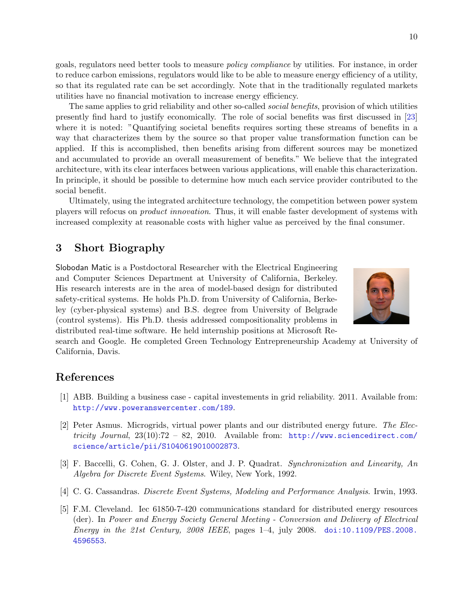goals, regulators need better tools to measure policy compliance by utilities. For instance, in order to reduce carbon emissions, regulators would like to be able to measure energy efficiency of a utility, so that its regulated rate can be set accordingly. Note that in the traditionally regulated markets utilities have no financial motivation to increase energy efficiency.

The same applies to grid reliability and other so-called *social benefits*, provision of which utilities presently find hard to justify economically. The role of social benefits was first discussed in [\[23\]](#page-11-12) where it is noted: "Quantifying societal benefits requires sorting these streams of benefits in a way that characterizes them by the source so that proper value transformation function can be applied. If this is accomplished, then benefits arising from different sources may be monetized and accumulated to provide an overall measurement of benefits." We believe that the integrated architecture, with its clear interfaces between various applications, will enable this characterization. In principle, it should be possible to determine how much each service provider contributed to the social benefit.

Ultimately, using the integrated architecture technology, the competition between power system players will refocus on product innovation. Thus, it will enable faster development of systems with increased complexity at reasonable costs with higher value as perceived by the final consumer.

## <span id="page-9-0"></span>3 Short Biography

Slobodan Matic is a Postdoctoral Researcher with the Electrical Engineering and Computer Sciences Department at University of California, Berkeley. His research interests are in the area of model-based design for distributed safety-critical systems. He holds Ph.D. from University of California, Berkeley (cyber-physical systems) and B.S. degree from University of Belgrade (control systems). His Ph.D. thesis addressed compositionality problems in distributed real-time software. He held internship positions at Microsoft Re-



search and Google. He completed Green Technology Entrepreneurship Academy at University of California, Davis.

## References

- <span id="page-9-4"></span>[1] ABB. Building a business case - capital investements in grid reliability. 2011. Available from: <http://www.poweranswercenter.com/189>.
- [2] Peter Asmus. Microgrids, virtual power plants and our distributed energy future. The Electricity Journal,  $23(10):72 - 82$ ,  $2010$ . Available from: [http://www.sciencedirect.com/](http://www.sciencedirect.com/science/article/pii/S1040619010002873) [science/article/pii/S1040619010002873](http://www.sciencedirect.com/science/article/pii/S1040619010002873).
- <span id="page-9-2"></span>[3] F. Baccelli, G. Cohen, G. J. Olster, and J. P. Quadrat. Synchronization and Linearity, An Algebra for Discrete Event Systems. Wiley, New York, 1992.
- <span id="page-9-3"></span>[4] C. G. Cassandras. Discrete Event Systems, Modeling and Performance Analysis. Irwin, 1993.
- <span id="page-9-1"></span>[5] F.M. Cleveland. Iec 61850-7-420 communications standard for distributed energy resources (der). In Power and Energy Society General Meeting - Conversion and Delivery of Electrical Energy in the 21st Century, 2008 IEEE, pages  $1-4$ , july 2008. [doi:10.1109/PES.2008.](http://dx.doi.org/10.1109/PES.2008.4596553) [4596553](http://dx.doi.org/10.1109/PES.2008.4596553).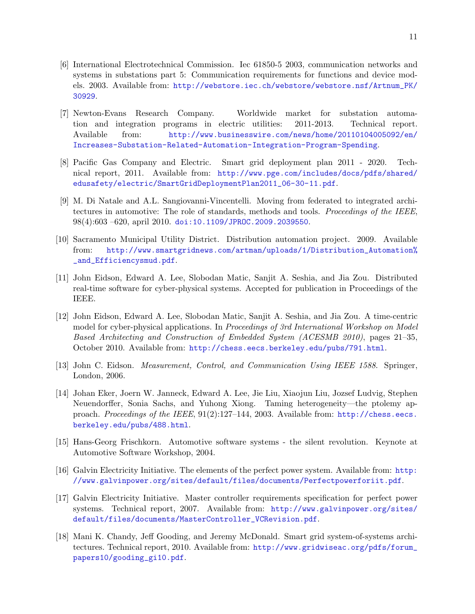- <span id="page-10-6"></span>[6] International Electrotechnical Commission. Iec 61850-5 2003, communication networks and systems in substations part 5: Communication requirements for functions and device models. 2003. Available from: [http://webstore.iec.ch/webstore/webstore.nsf/Artnum\\_PK/](http://webstore.iec.ch/webstore/webstore.nsf/Artnum_PK/30929) [30929](http://webstore.iec.ch/webstore/webstore.nsf/Artnum_PK/30929).
- <span id="page-10-0"></span>[7] Newton-Evans Research Company. Worldwide market for substation automation and integration programs in electric utilities: 2011-2013. Technical report. Available from: [http://www.businesswire.com/news/home/20110104005092/en/](http://www.businesswire.com/news/home/20110104005092/en/Increases-Substation-Related-Automation-Integration-Program-Spending) [Increases-Substation-Related-Automation-Integration-Program-Spending](http://www.businesswire.com/news/home/20110104005092/en/Increases-Substation-Related-Automation-Integration-Program-Spending).
- <span id="page-10-1"></span>[8] Pacific Gas Company and Electric. Smart grid deployment plan 2011 - 2020. Technical report, 2011. Available from: [http://www.pge.com/includes/docs/pdfs/shared/](http://www.pge.com/includes/docs/pdfs/shared/edusafety/electric/SmartGridDeploymentPlan2011_06-30-11.pdf) [edusafety/electric/SmartGridDeploymentPlan2011\\_06-30-11.pdf](http://www.pge.com/includes/docs/pdfs/shared/edusafety/electric/SmartGridDeploymentPlan2011_06-30-11.pdf).
- <span id="page-10-8"></span>[9] M. Di Natale and A.L. Sangiovanni-Vincentelli. Moving from federated to integrated architectures in automotive: The role of standards, methods and tools. Proceedings of the IEEE, 98(4):603 –620, april 2010. [doi:10.1109/JPROC.2009.2039550](http://dx.doi.org/10.1109/JPROC.2009.2039550).
- <span id="page-10-2"></span>[10] Sacramento Municipal Utility District. Distribution automation project. 2009. Available from: [http://www.smartgridnews.com/artman/uploads/1/Distribution\\_Automation%](http://www.smartgridnews.com/artman/uploads/1/Distribution_Automation% _and_Efficiencysmud.pdf) [\\_and\\_Efficiencysmud.pdf](http://www.smartgridnews.com/artman/uploads/1/Distribution_Automation% _and_Efficiencysmud.pdf).
- <span id="page-10-12"></span>[11] John Eidson, Edward A. Lee, Slobodan Matic, Sanjit A. Seshia, and Jia Zou. Distributed real-time software for cyber-physical systems. Accepted for publication in Proceedings of the IEEE.
- <span id="page-10-11"></span>[12] John Eidson, Edward A. Lee, Slobodan Matic, Sanjit A. Seshia, and Jia Zou. A time-centric model for cyber-physical applications. In Proceedings of 3rd International Workshop on Model Based Architecting and Construction of Embedded System (ACESMB 2010), pages 21–35, October 2010. Available from: <http://chess.eecs.berkeley.edu/pubs/791.html>.
- <span id="page-10-9"></span>[13] John C. Eidson. Measurement, Control, and Communication Using IEEE 1588. Springer, London, 2006.
- <span id="page-10-10"></span>[14] Johan Eker, Joern W. Janneck, Edward A. Lee, Jie Liu, Xiaojun Liu, Jozsef Ludvig, Stephen Neuendorffer, Sonia Sachs, and Yuhong Xiong. Taming heterogeneity—the ptolemy approach. Proceedings of the IEEE, 91(2):127–144, 2003. Available from: [http://chess.eecs.](http://chess.eecs.berkeley.edu/pubs/488.html) [berkeley.edu/pubs/488.html](http://chess.eecs.berkeley.edu/pubs/488.html).
- <span id="page-10-4"></span>[15] Hans-Georg Frischkorn. Automotive software systems - the silent revolution. Keynote at Automotive Software Workshop, 2004.
- <span id="page-10-3"></span>[16] Galvin Electricity Initiative. The elements of the perfect power system. Available from: [http:](http://www.galvinpower.org/sites/default/files/documents/Perfectpowerforiit.pdf) [//www.galvinpower.org/sites/default/files/documents/Perfectpowerforiit.pdf](http://www.galvinpower.org/sites/default/files/documents/Perfectpowerforiit.pdf).
- <span id="page-10-7"></span>[17] Galvin Electricity Initiative. Master controller requirements specification for perfect power systems. Technical report, 2007. Available from: [http://www.galvinpower.org/sites/](http://www.galvinpower.org/sites/default/files/documents/MasterController_VCRevision.pdf) [default/files/documents/MasterController\\_VCRevision.pdf](http://www.galvinpower.org/sites/default/files/documents/MasterController_VCRevision.pdf).
- <span id="page-10-5"></span>[18] Mani K. Chandy, Jeff Gooding, and Jeremy McDonald. Smart grid system-of-systems architectures. Technical report, 2010. Available from: [http://www.gridwiseac.org/pdfs/forum\\_](http://www.gridwiseac.org/pdfs/forum_papers10/gooding_gi10.pdf) [papers10/gooding\\_gi10.pdf](http://www.gridwiseac.org/pdfs/forum_papers10/gooding_gi10.pdf).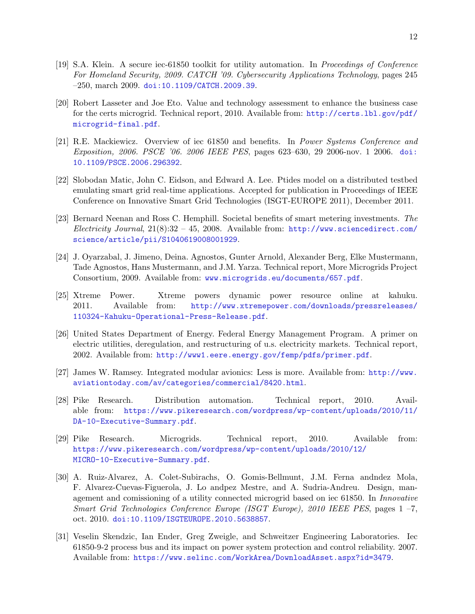- <span id="page-11-10"></span><span id="page-11-6"></span>[20] Robert Lasseter and Joe Eto. Value and technology assessment to enhance the business case for the certs microgrid. Technical report, 2010. Available from: [http://certs.lbl.gov/pdf/](http://certs.lbl.gov/pdf/microgrid-final.pdf) [microgrid-final.pdf](http://certs.lbl.gov/pdf/microgrid-final.pdf).
- <span id="page-11-2"></span>[21] R.E. Mackiewicz. Overview of iec 61850 and benefits. In Power Systems Conference and Exposition, 2006. PSCE '06. 2006 IEEE PES, pages 623–630, 29 2006-nov. 1 2006. [doi:](http://dx.doi.org/10.1109/PSCE.2006.296392) [10.1109/PSCE.2006.296392](http://dx.doi.org/10.1109/PSCE.2006.296392).
- <span id="page-11-8"></span>[22] Slobodan Matic, John C. Eidson, and Edward A. Lee. Ptides model on a distributed testbed emulating smart grid real-time applications. Accepted for publication in Proceedings of IEEE Conference on Innovative Smart Grid Technologies (ISGT-EUROPE 2011), December 2011.
- <span id="page-11-12"></span>[23] Bernard Neenan and Ross C. Hemphill. Societal benefits of smart metering investments. The Electricity Journal,  $21(8):32 - 45$ , 2008. Available from: [http://www.sciencedirect.com/](http://www.sciencedirect.com/science/article/pii/S1040619008001929) [science/article/pii/S1040619008001929](http://www.sciencedirect.com/science/article/pii/S1040619008001929).
- <span id="page-11-4"></span>[24] J. Oyarzabal, J. Jimeno, Deina. Agnostos, Gunter Arnold, Alexander Berg, Elke Mustermann, Tade Agnostos, Hans Mustermann, and J.M. Yarza. Technical report, More Microgrids Project Consortium, 2009. Available from: [www.microgrids.eu/documents/657.pdf](http://ptolemy.eecs.berkeley.edu/ptolemyII/ptII8.1/jnlp-modelingCPS/ptolemy/demo/PowerPlant/www.microgrids.eu/documents/657.pdf).
- <span id="page-11-9"></span>[25] Xtreme Power. Xtreme powers dynamic power resource online at kahuku. 2011. Available from: [http://www.xtremepower.com/downloads/pressreleases/](http://www.xtremepower.com/downloads/pressreleases/110324-Kahuku-Operational-Press-Release.pdf) [110324-Kahuku-Operational-Press-Release.pdf](http://www.xtremepower.com/downloads/pressreleases/110324-Kahuku-Operational-Press-Release.pdf).
- <span id="page-11-11"></span>[26] United States Department of Energy. Federal Energy Management Program. A primer on electric utilities, deregulation, and restructuring of u.s. electricity markets. Technical report, 2002. Available from: <http://www1.eere.energy.gov/femp/pdfs/primer.pdf>.
- <span id="page-11-7"></span>[27] James W. Ramsey. Integrated modular avionics: Less is more. Available from: [http://www.](http://www.aviationtoday.com/av/categories/commercial/8420.html) [aviationtoday.com/av/categories/commercial/8420.html](http://www.aviationtoday.com/av/categories/commercial/8420.html).
- <span id="page-11-0"></span>[28] Pike Research. Distribution automation. Technical report, 2010. Available from: [https://www.pikeresearch.com/wordpress/wp-content/uploads/2010/11/](https://www.pikeresearch.com/wordpress/wp-content/uploads/2010/11/DA-10-Executive-Summary.pdf) [DA-10-Executive-Summary.pdf](https://www.pikeresearch.com/wordpress/wp-content/uploads/2010/11/DA-10-Executive-Summary.pdf).
- <span id="page-11-1"></span>[29] Pike Research. Microgrids. Technical report, 2010. Available from: [https://www.pikeresearch.com/wordpress/wp-content/uploads/2010/12/](https://www.pikeresearch.com/wordpress/wp-content/uploads/2010/12/MICRO-10-Executive-Summary.pdf) [MICRO-10-Executive-Summary.pdf](https://www.pikeresearch.com/wordpress/wp-content/uploads/2010/12/MICRO-10-Executive-Summary.pdf).
- <span id="page-11-5"></span>[30] A. Ruiz-Alvarez, A. Colet-Subirachs, O. Gomis-Bellmunt, J.M. Ferna andndez Mola, F. Alvarez-Cuevas-Figuerola, J. Lo andpez Mestre, and A. Sudria-Andreu. Design, management and comissioning of a utility connected microgrid based on iec 61850. In Innovative Smart Grid Technologies Conference Europe (ISGT Europe), 2010 IEEE PES, pages 1 –7, oct. 2010. [doi:10.1109/ISGTEUROPE.2010.5638857](http://dx.doi.org/10.1109/ISGTEUROPE.2010.5638857).
- <span id="page-11-3"></span>[31] Veselin Skendzic, Ian Ender, Greg Zweigle, and Schweitzer Engineering Laboratories. Iec 61850-9-2 process bus and its impact on power system protection and control reliability. 2007. Available from: <https://www.selinc.com/WorkArea/DownloadAsset.aspx?id=3479>.